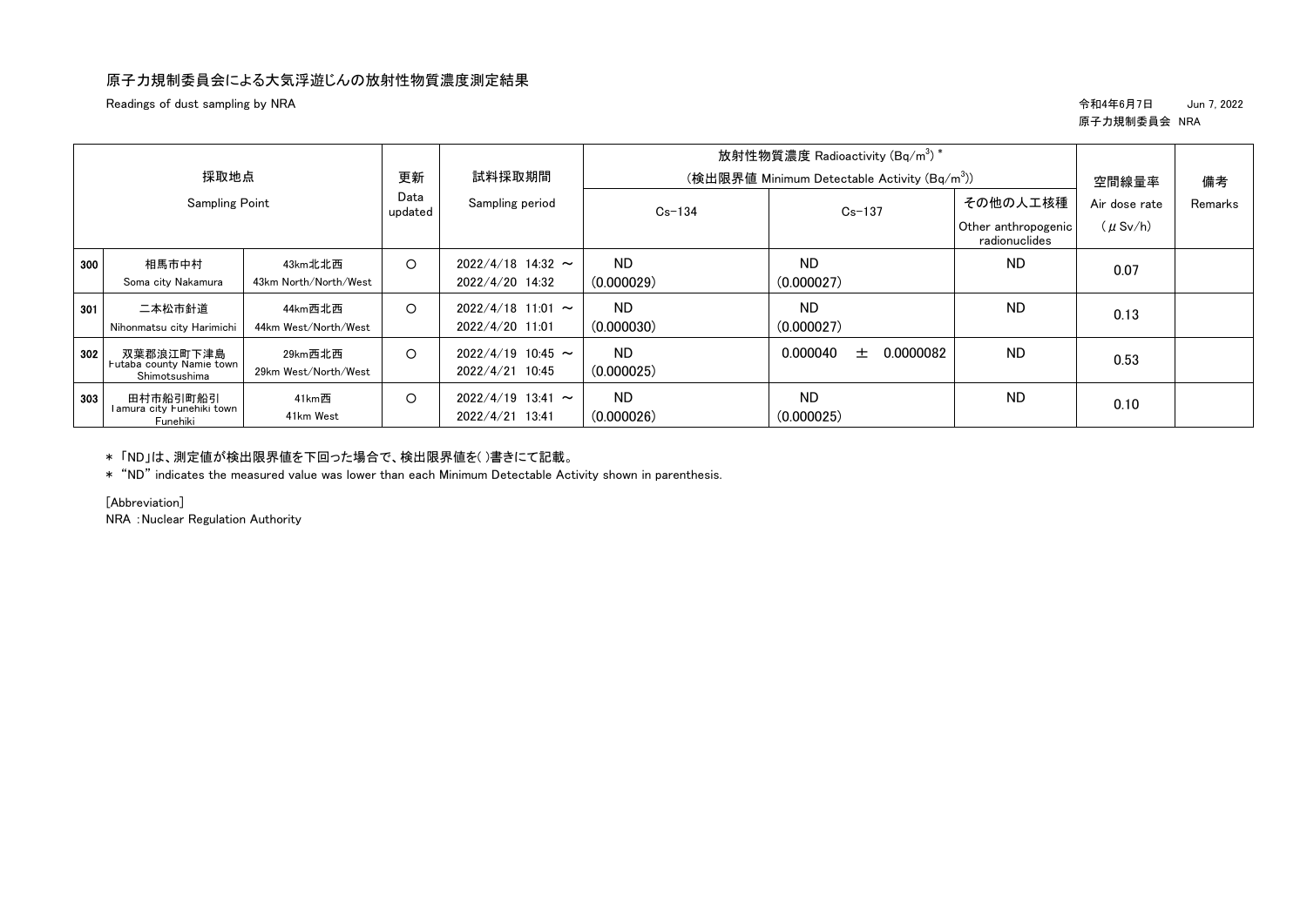## 原子力規制委員会による大気浮遊じんの放射性物質濃度測定結果

Readings of dust sampling by NRA 令和4年6月7日 Jun 7, 2022

## 原子力規制委員会 NRA

| 採取地点                  |                                                        |                                  | 更新<br>Data<br>updated | 試料採取期間<br>Sampling period              | 放射性物質濃度 Radioactivity $(Bq/m^3)^*$<br>(検出限界値 Minimum Detectable Activity (Bq/m <sup>3</sup> )) |                                                  |                               | 空間線量率   | 備考 |
|-----------------------|--------------------------------------------------------|----------------------------------|-----------------------|----------------------------------------|------------------------------------------------------------------------------------------------|--------------------------------------------------|-------------------------------|---------|----|
| <b>Sampling Point</b> |                                                        | $Cs - 134$                       |                       |                                        | $Cs - 137$                                                                                     | その他の人工核種<br>Other anthropogenic<br>radionuclides | Air dose rate<br>$(\mu$ Sv/h) | Remarks |    |
| 300                   | 相馬市中村<br>Soma city Nakamura                            | 43km北北西<br>43km North/North/West | $\circ$               | $2022/4/18$ 14:32 ~<br>2022/4/20 14:32 | <b>ND</b><br>(0.000029)                                                                        | <b>ND</b><br>(0.000027)                          | ND.                           | 0.07    |    |
| 301                   | 二本松市針道<br>Nihonmatsu city Harimichi                    | 44km西北西<br>44km West/North/West  | $\circ$               | $2022/4/18$ 11:01 ~<br>2022/4/20 11:01 | <b>ND</b><br>(0.000030)                                                                        | <b>ND</b><br>(0.000027)                          | <b>ND</b>                     | 0.13    |    |
| 302                   | 双葉郡浪江町下津島<br>Futaba county Namie town<br>Shimotsushima | 29km西北西<br>29km West/North/West  | $\circ$               | $2022/4/19$ 10:45 ~<br>2022/4/21 10:45 | <b>ND</b><br>(0.000025)                                                                        | 0.000040<br>0.0000082<br>土                       | <b>ND</b>                     | 0.53    |    |
| 303                   | 田村市船引町船引<br>l amura city Funehiki town<br>Funehiki     | 41km西<br>41km West               | $\circ$               | $2022/4/19$ 13:41 ~<br>2022/4/21 13:41 | <b>ND</b><br>(0.000026)                                                                        | <b>ND</b><br>(0.000025)                          | <b>ND</b>                     | 0.10    |    |

\* 「ND」は、測定値が検出限界値を下回った場合で、検出限界値を( )書きにて記載。

\* "ND" indicates the measured value was lower than each Minimum Detectable Activity shown in parenthesis.

[Abbreviation]

NRA :Nuclear Regulation Authority